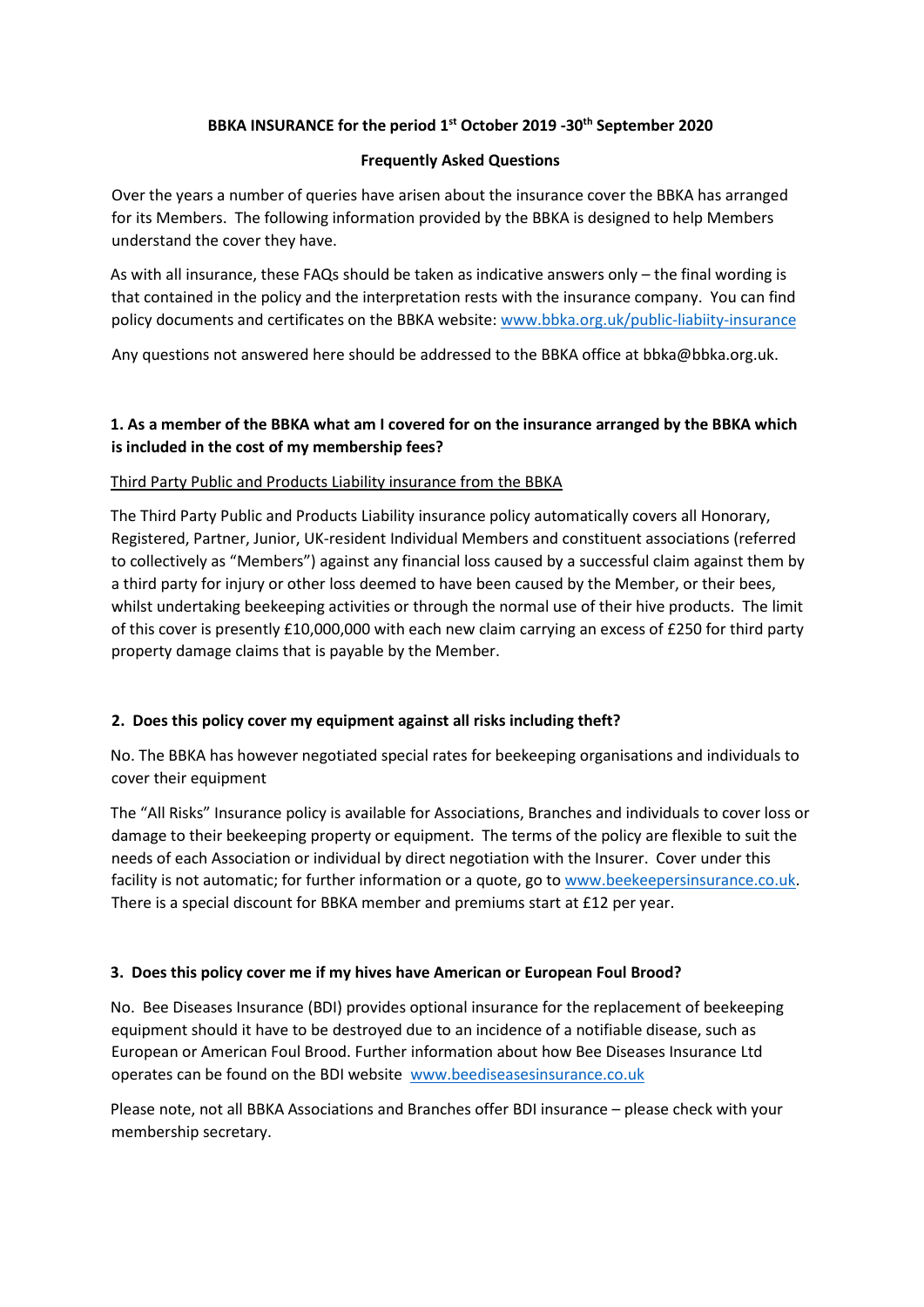### **BBKA INSURANCE for the period 1st October 2019 -30th September 2020**

### **Frequently Asked Questions**

Over the years a number of queries have arisen about the insurance cover the BBKA has arranged for its Members. The following information provided by the BBKA is designed to help Members understand the cover they have.

As with all insurance, these FAQs should be taken as indicative answers only – the final wording is that contained in the policy and the interpretation rests with the insurance company. You can find policy documents and certificates on the BBKA website: [www.bbka.org.uk/public-liabiity-insurance](http://www.bbka.org.uk/public-liabiity-insurance)

Any questions not answered here should be addressed to the BBKA office at bbka@bbka.org.uk.

# **1. As a member of the BBKA what am I covered for on the insurance arranged by the BBKA which is included in the cost of my membership fees?**

### Third Party Public and Products Liability insurance from the BBKA

The Third Party Public and Products Liability insurance policy automatically covers all Honorary, Registered, Partner, Junior, UK-resident Individual Members and constituent associations (referred to collectively as "Members") against any financial loss caused by a successful claim against them by a third party for injury or other loss deemed to have been caused by the Member, or their bees, whilst undertaking beekeeping activities or through the normal use of their hive products. The limit of this cover is presently £10,000,000 with each new claim carrying an excess of £250 for third party property damage claims that is payable by the Member.

# **2. Does this policy cover my equipment against all risks including theft?**

No. The BBKA has however negotiated special rates for beekeeping organisations and individuals to cover their equipment

The "All Risks" Insurance policy is available for Associations, Branches and individuals to cover loss or damage to their beekeeping property or equipment. The terms of the policy are flexible to suit the needs of each Association or individual by direct negotiation with the Insurer. Cover under this facility is not automatic; for further information or a quote, go to [www.beekeepersinsurance.co.uk.](http://www.beekeepersinsurance.co.uk/) There is a special discount for BBKA member and premiums start at £12 per year.

### **3. Does this policy cover me if my hives have American or European Foul Brood?**

No. Bee Diseases Insurance (BDI) provides optional insurance for the replacement of beekeeping equipment should it have to be destroyed due to an incidence of a notifiable disease, such as European or American Foul Brood. Further information about how Bee Diseases Insurance Ltd operates can be found on the BDI website [www.beediseasesinsurance.co.uk](http://www.beediseasesinsurance.co.uk/)

Please note, not all BBKA Associations and Branches offer BDI insurance – please check with your membership secretary.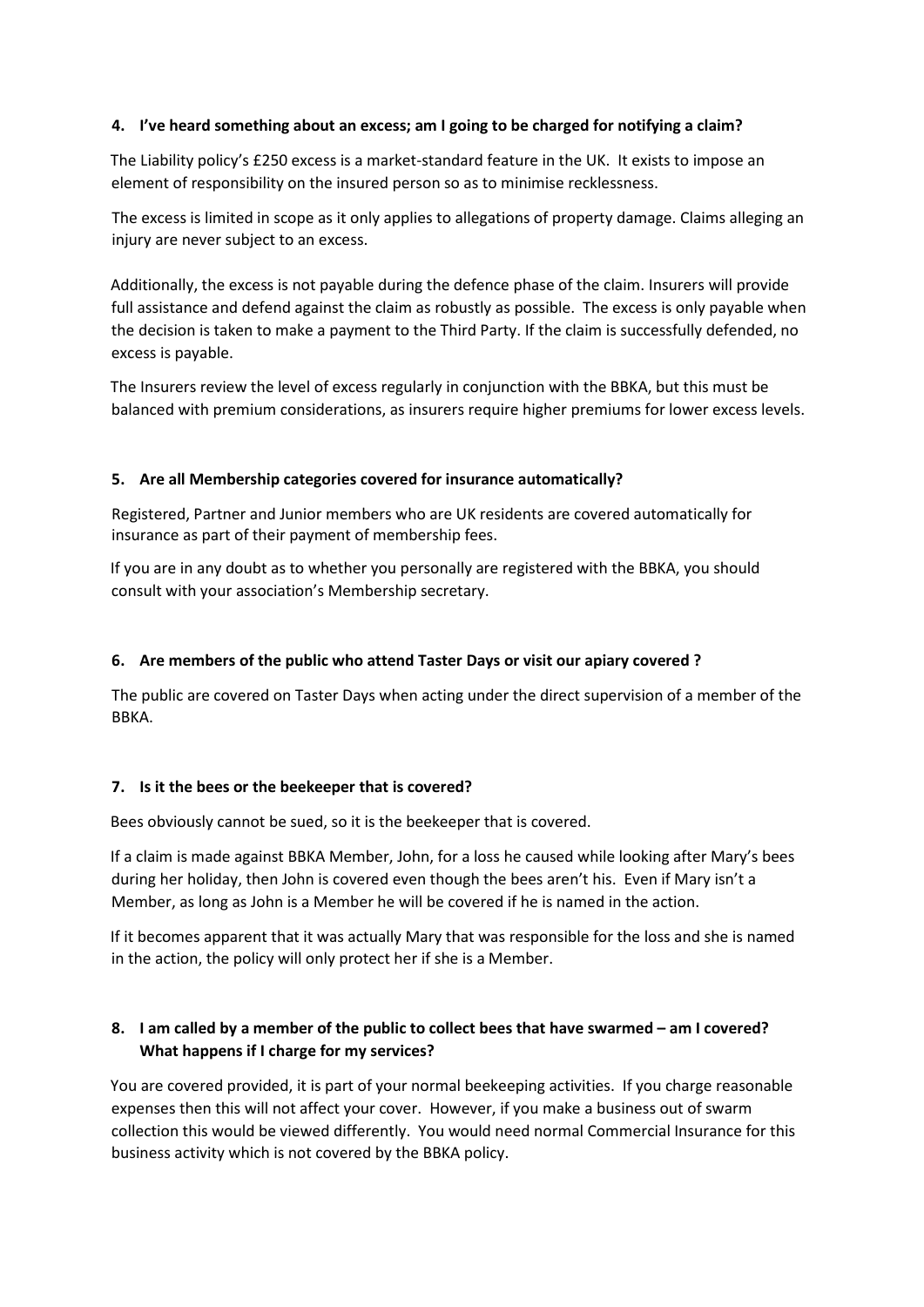### **4. I've heard something about an excess; am I going to be charged for notifying a claim?**

The Liability policy's £250 excess is a market-standard feature in the UK. It exists to impose an element of responsibility on the insured person so as to minimise recklessness.

The excess is limited in scope as it only applies to allegations of property damage. Claims alleging an injury are never subject to an excess.

Additionally, the excess is not payable during the defence phase of the claim. Insurers will provide full assistance and defend against the claim as robustly as possible. The excess is only payable when the decision is taken to make a payment to the Third Party. If the claim is successfully defended, no excess is payable.

The Insurers review the level of excess regularly in conjunction with the BBKA, but this must be balanced with premium considerations, as insurers require higher premiums for lower excess levels.

#### **5. Are all Membership categories covered for insurance automatically?**

Registered, Partner and Junior members who are UK residents are covered automatically for insurance as part of their payment of membership fees.

If you are in any doubt as to whether you personally are registered with the BBKA, you should consult with your association's Membership secretary.

#### **6. Are members of the public who attend Taster Days or visit our apiary covered ?**

The public are covered on Taster Days when acting under the direct supervision of a member of the BBKA.

#### **7. Is it the bees or the beekeeper that is covered?**

Bees obviously cannot be sued, so it is the beekeeper that is covered.

If a claim is made against BBKA Member, John, for a loss he caused while looking after Mary's bees during her holiday, then John is covered even though the bees aren't his. Even if Mary isn't a Member, as long as John is a Member he will be covered if he is named in the action.

If it becomes apparent that it was actually Mary that was responsible for the loss and she is named in the action, the policy will only protect her if she is a Member.

## **8. I am called by a member of the public to collect bees that have swarmed – am I covered? What happens if I charge for my services?**

You are covered provided, it is part of your normal beekeeping activities. If you charge reasonable expenses then this will not affect your cover. However, if you make a business out of swarm collection this would be viewed differently. You would need normal Commercial Insurance for this business activity which is not covered by the BBKA policy.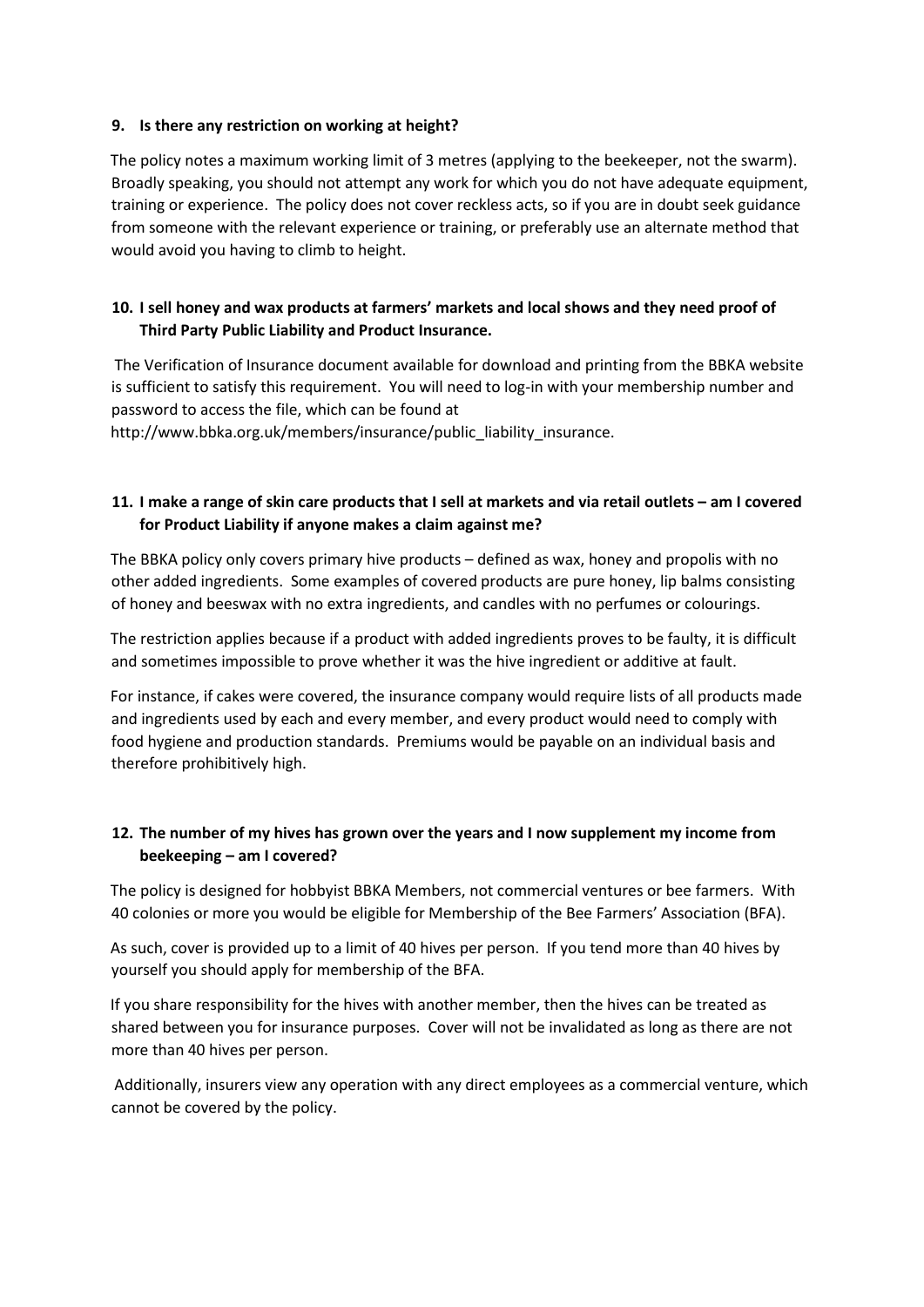### **9. Is there any restriction on working at height?**

The policy notes a maximum working limit of 3 metres (applying to the beekeeper, not the swarm). Broadly speaking, you should not attempt any work for which you do not have adequate equipment, training or experience. The policy does not cover reckless acts, so if you are in doubt seek guidance from someone with the relevant experience or training, or preferably use an alternate method that would avoid you having to climb to height.

## **10. I sell honey and wax products at farmers' markets and local shows and they need proof of Third Party Public Liability and Product Insurance.**

The Verification of Insurance document available for download and printing from the BBKA website is sufficient to satisfy this requirement. You will need to log-in with your membership number and password to access the file, which can be found at

http://www.bbka.org.uk/members/insurance/public\_liability\_insurance.

## **11. I make a range of skin care products that I sell at markets and via retail outlets – am I covered for Product Liability if anyone makes a claim against me?**

The BBKA policy only covers primary hive products – defined as wax, honey and propolis with no other added ingredients. Some examples of covered products are pure honey, lip balms consisting of honey and beeswax with no extra ingredients, and candles with no perfumes or colourings.

The restriction applies because if a product with added ingredients proves to be faulty, it is difficult and sometimes impossible to prove whether it was the hive ingredient or additive at fault.

For instance, if cakes were covered, the insurance company would require lists of all products made and ingredients used by each and every member, and every product would need to comply with food hygiene and production standards. Premiums would be payable on an individual basis and therefore prohibitively high.

### **12. The number of my hives has grown over the years and I now supplement my income from beekeeping – am I covered?**

The policy is designed for hobbyist BBKA Members, not commercial ventures or bee farmers. With 40 colonies or more you would be eligible for Membership of the Bee Farmers' Association (BFA).

As such, cover is provided up to a limit of 40 hives per person. If you tend more than 40 hives by yourself you should apply for membership of the BFA.

If you share responsibility for the hives with another member, then the hives can be treated as shared between you for insurance purposes. Cover will not be invalidated as long as there are not more than 40 hives per person.

Additionally, insurers view any operation with any direct employees as a commercial venture, which cannot be covered by the policy.